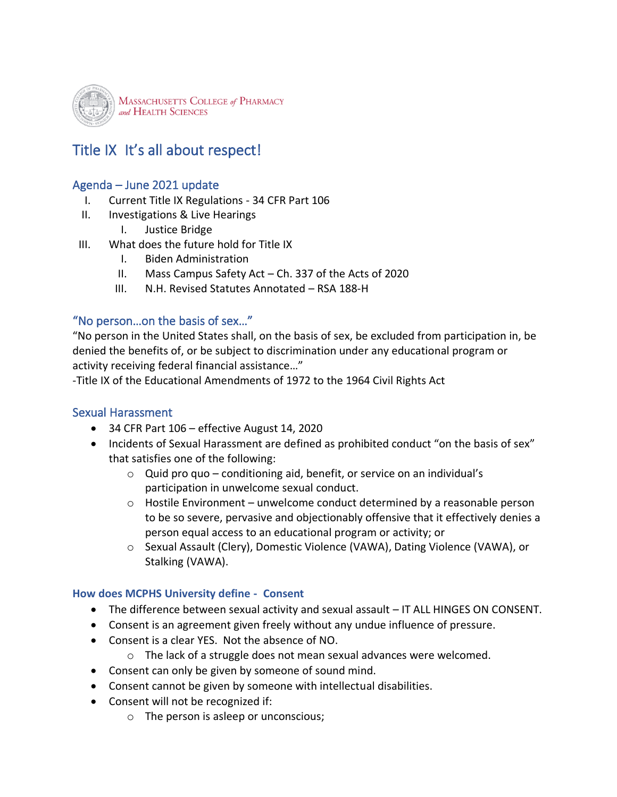

# Title IX It's all about respect!

### Agenda – June 2021 update

- I. Current Title IX Regulations 34 CFR Part 106
- II. Investigations & Live Hearings
	- I. Justice Bridge
- III. What does the future hold for Title IX
	- I. Biden Administration
	- II. Mass Campus Safety Act Ch. 337 of the Acts of 2020
	- III. N.H. Revised Statutes Annotated RSA 188-H

#### "No person…on the basis of sex…"

"No person in the United States shall, on the basis of sex, be excluded from participation in, be denied the benefits of, or be subject to discrimination under any educational program or activity receiving federal financial assistance…"

-Title IX of the Educational Amendments of 1972 to the 1964 Civil Rights Act

### Sexual Harassment

- 34 CFR Part 106 effective August 14, 2020
- Incidents of Sexual Harassment are defined as prohibited conduct "on the basis of sex" that satisfies one of the following:
	- $\circ$  Quid pro quo conditioning aid, benefit, or service on an individual's participation in unwelcome sexual conduct.
	- $\circ$  Hostile Environment unwelcome conduct determined by a reasonable person to be so severe, pervasive and objectionably offensive that it effectively denies a person equal access to an educational program or activity; or
	- o Sexual Assault (Clery), Domestic Violence (VAWA), Dating Violence (VAWA), or Stalking (VAWA).

#### **How does MCPHS University define - Consent**

- The difference between sexual activity and sexual assault IT ALL HINGES ON CONSENT.
- Consent is an agreement given freely without any undue influence of pressure.
- Consent is a clear YES. Not the absence of NO.
	- o The lack of a struggle does not mean sexual advances were welcomed.
- Consent can only be given by someone of sound mind.
- Consent cannot be given by someone with intellectual disabilities.
- Consent will not be recognized if:
	- o The person is asleep or unconscious;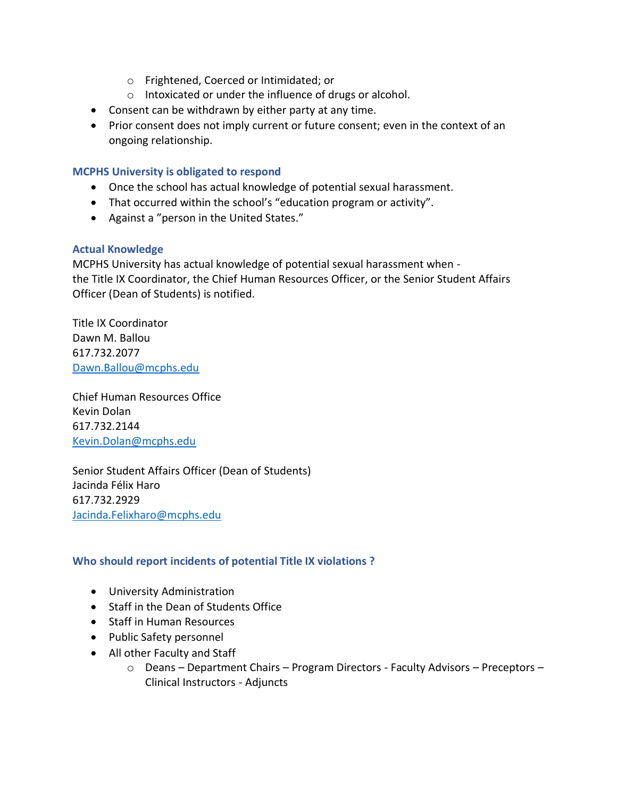- o Frightened, Coerced or Intimidated; or
- o Intoxicated or under the influence of drugs or alcohol.
- Consent can be withdrawn by either party at any time.
- Prior consent does not imply current or future consent; even in the context of an ongoing relationship.

#### **MCPHS University is obligated to respond**

- Once the school has actual knowledge of potential sexual harassment.
- That occurred within the school's "education program or activity".
- Against a "person in the United States."

#### **Actual Knowledge**

MCPHS University has actual knowledge of potential sexual harassment when the Title IX Coordinator, the Chief Human Resources Officer, or the Senior Student Affairs Officer (Dean of Students) is notified.

Title IX Coordinator Dawn M. Ballou 617.732.2077 [Dawn.Ballou@mcphs.edu](mailto:Dawn.Ballou@mcphs.edu)

Chief Human Resources Office Kevin Dolan 617.732.2144 [Kevin.Dolan@mcphs.edu](mailto:Kevin.Dolan@mcphs.edu)

Senior Student Affairs Officer (Dean of Students) Jacinda Félix Haro 617.732.2929 [Jacinda.Felixharo@mcphs.edu](mailto:Jacinda.Felixharo@mcphs.edu)

#### **Who should report incidents of potential Title IX violations ?**

- University Administration
- Staff in the Dean of Students Office
- Staff in Human Resources
- Public Safety personnel
- All other Faculty and Staff
	- o Deans Department Chairs Program Directors Faculty Advisors Preceptors Clinical Instructors - Adjuncts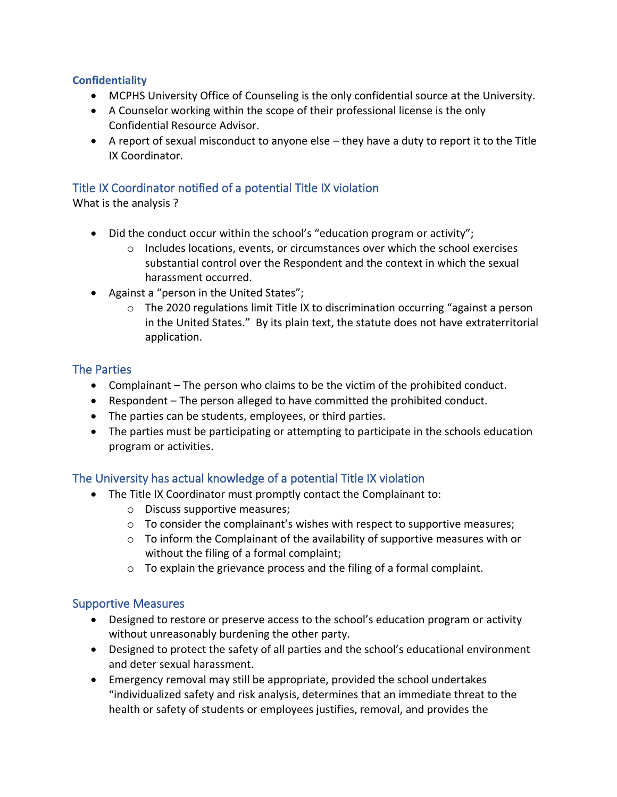### **Confidentiality**

- MCPHS University Office of Counseling is the only confidential source at the University.
- A Counselor working within the scope of their professional license is the only Confidential Resource Advisor.
- A report of sexual misconduct to anyone else they have a duty to report it to the Title IX Coordinator.

### Title IX Coordinator notified of a potential Title IX violation

What is the analysis ?

- Did the conduct occur within the school's "education program or activity";
	- $\circ$  Includes locations, events, or circumstances over which the school exercises substantial control over the Respondent and the context in which the sexual harassment occurred.
- Against a "person in the United States";
	- o The 2020 regulations limit Title IX to discrimination occurring "against a person in the United States." By its plain text, the statute does not have extraterritorial application.

### The Parties

- Complainant The person who claims to be the victim of the prohibited conduct.
- Respondent The person alleged to have committed the prohibited conduct.
- The parties can be students, employees, or third parties.
- The parties must be participating or attempting to participate in the schools education program or activities.

### The University has actual knowledge of a potential Title IX violation

- The Title IX Coordinator must promptly contact the Complainant to:
	- o Discuss supportive measures;
	- $\circ$  To consider the complainant's wishes with respect to supportive measures;
	- o To inform the Complainant of the availability of supportive measures with or without the filing of a formal complaint;
	- o To explain the grievance process and the filing of a formal complaint.

### Supportive Measures

- Designed to restore or preserve access to the school's education program or activity without unreasonably burdening the other party.
- Designed to protect the safety of all parties and the school's educational environment and deter sexual harassment.
- Emergency removal may still be appropriate, provided the school undertakes "individualized safety and risk analysis, determines that an immediate threat to the health or safety of students or employees justifies, removal, and provides the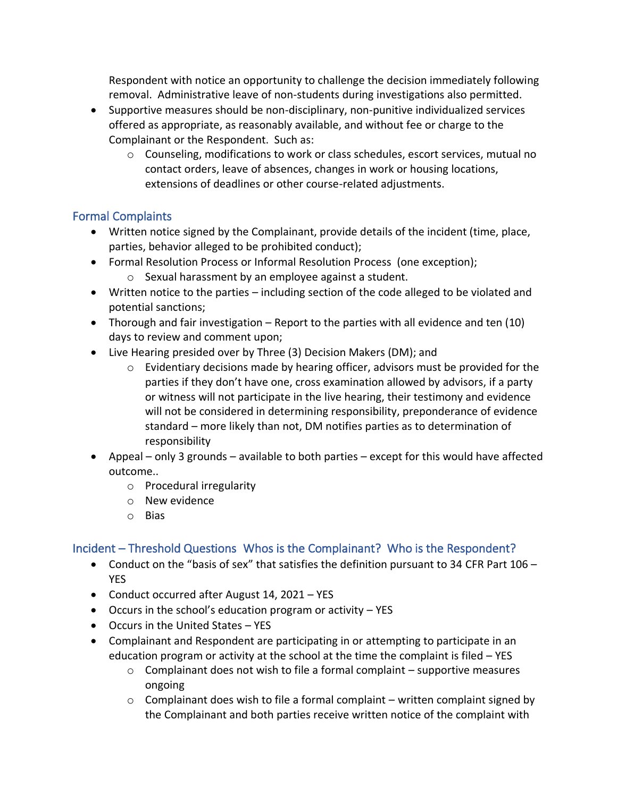Respondent with notice an opportunity to challenge the decision immediately following removal. Administrative leave of non-students during investigations also permitted.

- Supportive measures should be non-disciplinary, non-punitive individualized services offered as appropriate, as reasonably available, and without fee or charge to the Complainant or the Respondent. Such as:
	- o Counseling, modifications to work or class schedules, escort services, mutual no contact orders, leave of absences, changes in work or housing locations, extensions of deadlines or other course-related adjustments.

## Formal Complaints

- Written notice signed by the Complainant, provide details of the incident (time, place, parties, behavior alleged to be prohibited conduct);
- Formal Resolution Process or Informal Resolution Process (one exception);
	- o Sexual harassment by an employee against a student.
- Written notice to the parties including section of the code alleged to be violated and potential sanctions;
- Thorough and fair investigation Report to the parties with all evidence and ten (10) days to review and comment upon;
- Live Hearing presided over by Three (3) Decision Makers (DM); and
	- $\circ$  Evidentiary decisions made by hearing officer, advisors must be provided for the parties if they don't have one, cross examination allowed by advisors, if a party or witness will not participate in the live hearing, their testimony and evidence will not be considered in determining responsibility, preponderance of evidence standard – more likely than not, DM notifies parties as to determination of responsibility
- Appeal only 3 grounds available to both parties except for this would have affected outcome..
	- o Procedural irregularity
	- o New evidence
	- o Bias

### Incident – Threshold Questions Whos is the Complainant? Who is the Respondent?

- Conduct on the "basis of sex" that satisfies the definition pursuant to 34 CFR Part 106 YES
- Conduct occurred after August 14, 2021 YES
- Occurs in the school's education program or activity YES
- Occurs in the United States YES
- Complainant and Respondent are participating in or attempting to participate in an education program or activity at the school at the time the complaint is filed – YES
	- $\circ$  Complainant does not wish to file a formal complaint supportive measures ongoing
	- $\circ$  Complainant does wish to file a formal complaint written complaint signed by the Complainant and both parties receive written notice of the complaint with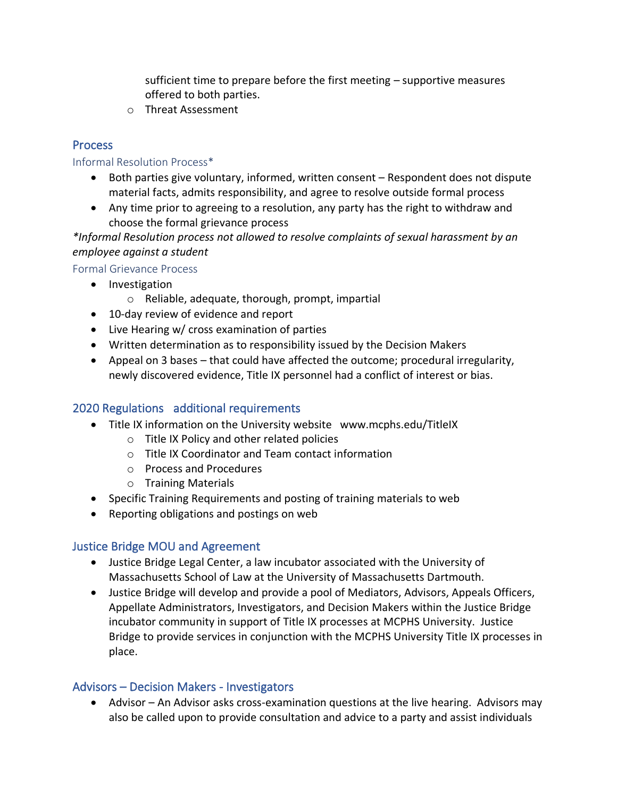sufficient time to prepare before the first meeting – supportive measures offered to both parties.

o Threat Assessment

### Process

#### Informal Resolution Process\*

- Both parties give voluntary, informed, written consent Respondent does not dispute material facts, admits responsibility, and agree to resolve outside formal process
- Any time prior to agreeing to a resolution, any party has the right to withdraw and choose the formal grievance process

*\*Informal Resolution process not allowed to resolve complaints of sexual harassment by an employee against a student*

### Formal Grievance Process

- Investigation
	- o Reliable, adequate, thorough, prompt, impartial
- 10-day review of evidence and report
- Live Hearing w/ cross examination of parties
- Written determination as to responsibility issued by the Decision Makers
- Appeal on 3 bases that could have affected the outcome; procedural irregularity, newly discovered evidence, Title IX personnel had a conflict of interest or bias.

### 2020 Regulations additional requirements

- Title IX information on the University website www.mcphs.edu/TitleIX
	- o Title IX Policy and other related policies
	- o Title IX Coordinator and Team contact information
	- o Process and Procedures
	- o Training Materials
- Specific Training Requirements and posting of training materials to web
- Reporting obligations and postings on web

### Justice Bridge MOU and Agreement

- Justice Bridge Legal Center, a law incubator associated with the University of Massachusetts School of Law at the University of Massachusetts Dartmouth.
- Justice Bridge will develop and provide a pool of Mediators, Advisors, Appeals Officers, Appellate Administrators, Investigators, and Decision Makers within the Justice Bridge incubator community in support of Title IX processes at MCPHS University. Justice Bridge to provide services in conjunction with the MCPHS University Title IX processes in place.

### Advisors – Decision Makers - Investigators

• Advisor – An Advisor asks cross-examination questions at the live hearing. Advisors may also be called upon to provide consultation and advice to a party and assist individuals